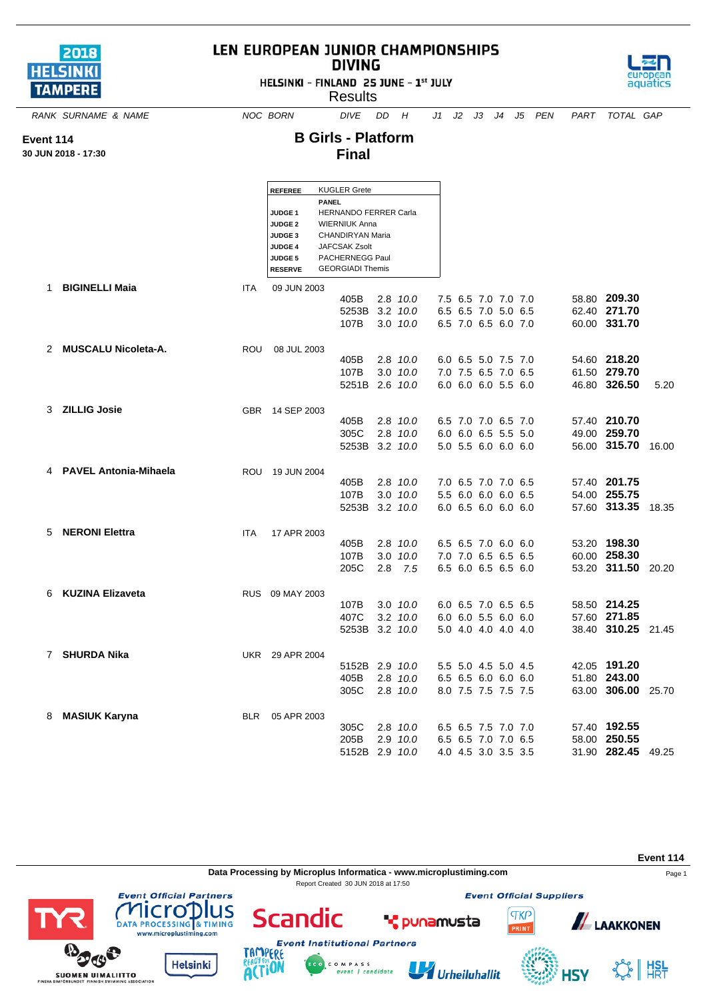

**Event 114 30 JUN 2018 - 17:30**

## LEN EUROPEAN JUNIOR CHAMPIONSHIPS **DIVING**

HELSINKI - FINLAND 25 JUNE - 1st JULY

**Results** 



*RANK SURNAME & NAME NOC BORN DIVE DD H J1 J2 J3 J4 J5 PEN PART TOTAL GAP*

## **B Girls - Platform Final**

|    |                              |            | <b>REFEREE</b>                              |                  | <b>KUGLER Grete</b>     |     |                  |  |                     |  |                    |       |
|----|------------------------------|------------|---------------------------------------------|------------------|-------------------------|-----|------------------|--|---------------------|--|--------------------|-------|
|    |                              |            | <b>PANEL</b>                                |                  |                         |     |                  |  |                     |  |                    |       |
|    |                              |            | HERNANDO FERRER Carla<br>JUDGE <sub>1</sub> |                  |                         |     |                  |  |                     |  |                    |       |
|    |                              |            | <b>WIERNIUK Anna</b><br><b>JUDGE 2</b>      |                  |                         |     |                  |  |                     |  |                    |       |
|    |                              |            | JUDGE <sub>3</sub>                          | CHANDIRYAN Maria |                         |     |                  |  |                     |  |                    |       |
|    |                              |            | <b>JUDGE 4</b>                              |                  | <b>JAFCSAK Zsolt</b>    |     |                  |  |                     |  |                    |       |
|    |                              |            | <b>JUDGE 5</b>                              |                  | PACHERNEGG Paul         |     |                  |  |                     |  |                    |       |
|    |                              |            | <b>RESERVE</b>                              |                  | <b>GEORGIADI Themis</b> |     |                  |  |                     |  |                    |       |
| 1. | <b>BIGINELLI Maja</b>        | <b>ITA</b> | 09 JUN 2003                                 |                  |                         |     |                  |  |                     |  |                    |       |
|    |                              |            |                                             |                  | 405B                    |     | 2.8 10.0         |  | 7.5 6.5 7.0 7.0 7.0 |  | 58.80 209.30       |       |
|    |                              |            |                                             |                  | 5253B                   |     | $3.2 \quad 10.0$ |  | 6.5 6.5 7.0 5.0 6.5 |  | 62.40 271.70       |       |
|    |                              |            |                                             |                  | 107B                    |     | 3.0 10.0         |  | 6.5 7.0 6.5 6.0 7.0 |  | 60.00 331.70       |       |
|    |                              |            |                                             |                  |                         |     |                  |  |                     |  |                    |       |
|    | 2 MUSCALU Nicoleta-A.        |            |                                             |                  |                         |     |                  |  |                     |  |                    |       |
|    |                              | ROU        | 08 JUL 2003                                 |                  | 405B                    |     | $2.8$ 10.0       |  | 6.0 6.5 5.0 7.5 7.0 |  | 54.60 218.20       |       |
|    |                              |            |                                             |                  | 107B                    |     | $3.0$ $10.0$     |  | 7.0 7.5 6.5 7.0 6.5 |  | 61.50 279.70       |       |
|    |                              |            |                                             |                  |                         |     |                  |  |                     |  | 46.80 326.50       |       |
|    |                              |            |                                             |                  | 5251B 2.6 10.0          |     |                  |  | 6.0 6.0 6.0 5.5 6.0 |  |                    | 5.20  |
|    |                              |            |                                             |                  |                         |     |                  |  |                     |  |                    |       |
|    | 3 ZILLIG Josie               |            | GBR 14 SEP 2003                             |                  | 405B                    |     | $2.8$ $10.0$     |  | 6.5 7.0 7.0 6.5 7.0 |  | 57.40 210.70       |       |
|    |                              |            |                                             |                  |                         |     |                  |  |                     |  |                    |       |
|    |                              |            |                                             |                  | 305C                    |     | 2.8 10.0         |  | 6.0 6.0 6.5 5.5 5.0 |  | 49.00 259.70       |       |
|    |                              |            |                                             |                  | 5253B 3.2 10.0          |     |                  |  | 5.0 5.5 6.0 6.0 6.0 |  | 56.00 315.70       | 16.00 |
|    |                              |            |                                             |                  |                         |     |                  |  |                     |  |                    |       |
| 4  | <b>PAVEL Antonia-Mihaela</b> | ROU        | 19 JUN 2004                                 |                  |                         |     |                  |  |                     |  | 57.40 201.75       |       |
|    |                              |            |                                             |                  | 405B                    |     | $2.8$ 10.0       |  | 7.0 6.5 7.0 7.0 6.5 |  |                    |       |
|    |                              |            |                                             |                  | 107B                    |     | $3.0$ $10.0$     |  | 5.5 6.0 6.0 6.0 6.5 |  | 54.00 255.75       |       |
|    |                              |            |                                             |                  | 5253B                   |     | $3.2$ $10.0$     |  | 6.0 6.5 6.0 6.0 6.0 |  | 57.60 313.35       | 18.35 |
|    |                              |            |                                             |                  |                         |     |                  |  |                     |  |                    |       |
| 5  | <b>NERONI Elettra</b>        | <b>ITA</b> | 17 APR 2003                                 |                  |                         |     |                  |  |                     |  |                    |       |
|    |                              |            |                                             |                  | 405B                    |     | 2.8 10.0         |  | 6.5 6.5 7.0 6.0 6.0 |  | 53.20 198.30       |       |
|    |                              |            |                                             |                  | 107B                    |     | $3.0$ $10.0$     |  | 7.0 7.0 6.5 6.5 6.5 |  | 60.00 258.30       |       |
|    |                              |            |                                             |                  | 205C                    | 2.8 | 7.5              |  | 6.5 6.0 6.5 6.5 6.0 |  | 53.20 311.50 20.20 |       |
|    |                              |            |                                             |                  |                         |     |                  |  |                     |  |                    |       |
| 6  | <b>KUZINA Elizaveta</b>      |            | RUS 09 MAY 2003                             |                  |                         |     |                  |  |                     |  |                    |       |
|    |                              |            |                                             |                  | 107B                    |     | $3.0$ $10.0$     |  | 6.0 6.5 7.0 6.5 6.5 |  | 58.50 214.25       |       |
|    |                              |            |                                             |                  | 407C                    |     | $3.2 \quad 10.0$ |  | 6.0 6.0 5.5 6.0 6.0 |  | 57.60 271.85       |       |
|    |                              |            |                                             |                  | 5253B                   |     | $3.2 \quad 10.0$ |  | 5.0 4.0 4.0 4.0 4.0 |  | 38.40 310.25       | 21.45 |
|    |                              |            |                                             |                  |                         |     |                  |  |                     |  |                    |       |
| 7  | <b>SHURDA Nika</b>           | UKR        | 29 APR 2004                                 |                  |                         |     |                  |  |                     |  |                    |       |
|    |                              |            |                                             |                  | 5152B 2.9 10.0          |     |                  |  | 5.5 5.0 4.5 5.0 4.5 |  | 42.05 191.20       |       |
|    |                              |            |                                             |                  | 405B                    |     | 2.8 10.0         |  | 6.5 6.5 6.0 6.0 6.0 |  | 51.80 243.00       |       |
|    |                              |            |                                             |                  | 305C                    |     | $2.8$ $10.0$     |  | 8.0 7.5 7.5 7.5 7.5 |  | 63.00 306.00       | 25.70 |
|    |                              |            |                                             |                  |                         |     |                  |  |                     |  |                    |       |
| 8  | <b>MASIUK Karyna</b>         | <b>BLR</b> | 05 APR 2003                                 |                  |                         |     |                  |  |                     |  |                    |       |
|    |                              |            |                                             |                  | 305C                    |     | 2.8 10.0         |  | 6.5 6.5 7.5 7.0 7.0 |  | 57.40 192.55       |       |
|    |                              |            |                                             |                  | 205B                    |     | 2.9 10.0         |  | 6.5 6.5 7.0 7.0 6.5 |  | 58.00 250.55       |       |
|    |                              |            |                                             |                  | 5152B 2.9 10.0          |     |                  |  | 4.0 4.5 3.0 3.5 3.5 |  | 31.90 282.45       | 49.25 |

**Event 114 Data Processing by Microplus Informatica - www.microplustiming.com** Page 1 Report Created 30 JUN 2018 at 17:50**Event Official Partners Event Official Suppliers** lus licro **Scandic TKP** LAAKKONEN **\*** punamusta DATA PROCESSING & TIMING PRINT www.microplustiming.com **Event Institutional Partners** TAMP ERE  $\sigma$ **Helsinki**  $\mathcal{L}_\mathcal{F}$   $\parallel$   $\mathsf{H}_{\mathsf{R}\mathsf{T}}^{\mathsf{SL}}$ **ACTION** COMPASS<br>event | candidate Urheiluhallit **HSV SUOMEN UIMALIITTO**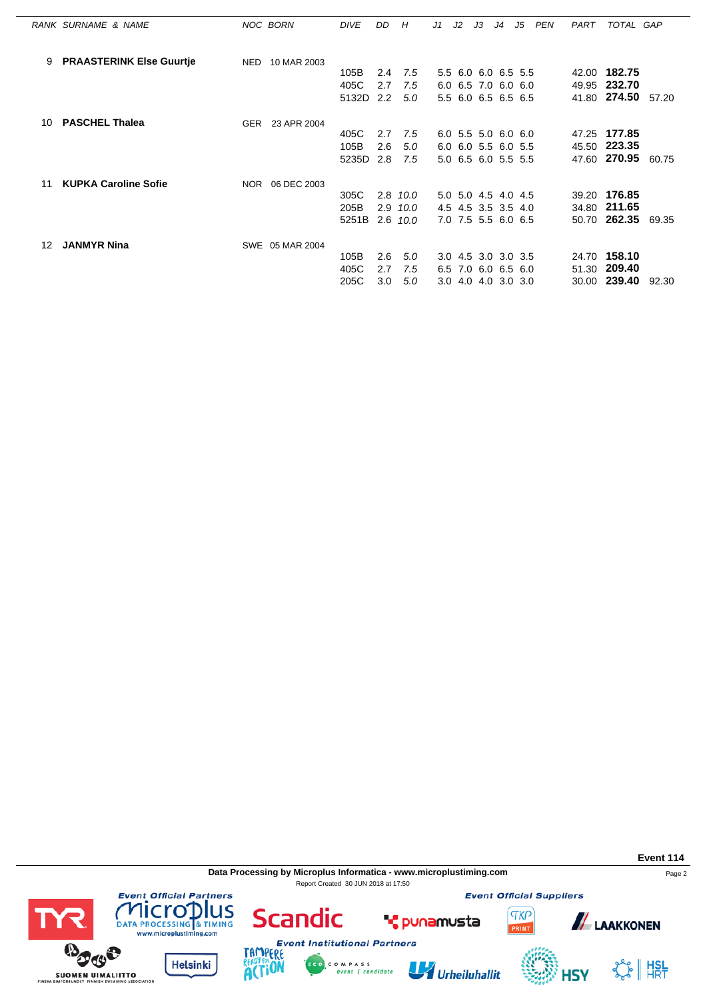|    | RANK SURNAME & NAME             |            | NOC BORN        | <b>DIVE</b> | DD.              | H          | J1 | J2 | J3                  | J <sub>4</sub> | J5 | <b>PEN</b> | PART | TOTAL GAP    |       |
|----|---------------------------------|------------|-----------------|-------------|------------------|------------|----|----|---------------------|----------------|----|------------|------|--------------|-------|
|    |                                 |            |                 |             |                  |            |    |    |                     |                |    |            |      |              |       |
| 9  | <b>PRAASTERINK Else Guurtje</b> | <b>NED</b> | 10 MAR 2003     | 105B        | 2.4              | 7.5        |    |    | 5.5 6.0 6.0 6.5 5.5 |                |    |            |      | 42.00 182.75 |       |
|    |                                 |            |                 |             |                  |            |    |    |                     |                |    |            |      |              |       |
|    |                                 |            |                 | 405C        | 2.7              | 7.5        |    |    | 6.0 6.5 7.0 6.0 6.0 |                |    |            |      | 49.95 232.70 |       |
|    |                                 |            |                 | 5132D       | 2.2              | 5.0        |    |    | 5.5 6.0 6.5 6.5 6.5 |                |    |            |      | 41.80 274.50 | 57.20 |
| 10 | <b>PASCHEL Thalea</b>           | GER        | 23 APR 2004     |             |                  |            |    |    |                     |                |    |            |      |              |       |
|    |                                 |            |                 | 405C        | 2.7              | 7.5        |    |    | 6.0 5.5 5.0 6.0 6.0 |                |    |            |      | 47.25 177.85 |       |
|    |                                 |            |                 | 105B        | 2.6              | 5.0        |    |    | 6.0 6.0 5.5 6.0 5.5 |                |    |            |      | 45.50 223.35 |       |
|    |                                 |            |                 | 5235D       | 2.8              | 7.5        |    |    | 5.0 6.5 6.0 5.5 5.5 |                |    |            |      | 47.60 270.95 | 60.75 |
| 11 | <b>KUPKA Caroline Sofie</b>     | NOR.       | 06 DEC 2003     |             |                  |            |    |    |                     |                |    |            |      |              |       |
|    |                                 |            |                 | 305C        |                  | $2.8$ 10.0 |    |    | 5.0 5.0 4.5 4.0 4.5 |                |    |            |      | 39.20 176.85 |       |
|    |                                 |            |                 | 205B        | 2.9              | 10.0       |    |    | 4.5 4.5 3.5 3.5 4.0 |                |    |            |      | 34.80 211.65 |       |
|    |                                 |            |                 |             |                  |            |    |    |                     |                |    |            |      |              |       |
|    |                                 |            |                 | 5251B       | 2.6              | 10.0       |    |    | 7.0 7.5 5.5 6.0 6.5 |                |    |            |      | 50.70 262.35 | 69.35 |
| 12 | <b>JANMYR Nina</b>              |            | SWE 05 MAR 2004 |             |                  |            |    |    |                     |                |    |            |      |              |       |
|    |                                 |            |                 | 105B        | 2.6              | 5.0        |    |    | 3.0 4.5 3.0 3.0 3.5 |                |    |            |      | 24.70 158.10 |       |
|    |                                 |            |                 | 405C        | 2.7              | 7.5        |    |    | 6.5 7.0 6.0 6.5 6.0 |                |    |            |      | 51.30 209.40 |       |
|    |                                 |            |                 | 205C        | 3.0 <sub>2</sub> | 5.0        |    |    | 3.0 4.0 4.0 3.0 3.0 |                |    |            |      | 30.00 239.40 | 92.30 |

**Data Processing by Microplus Informatica - www.microplustiming.com** Page 2 Report Created 30 JUN 2018 at 17:50

**Event Official Suppliers** 



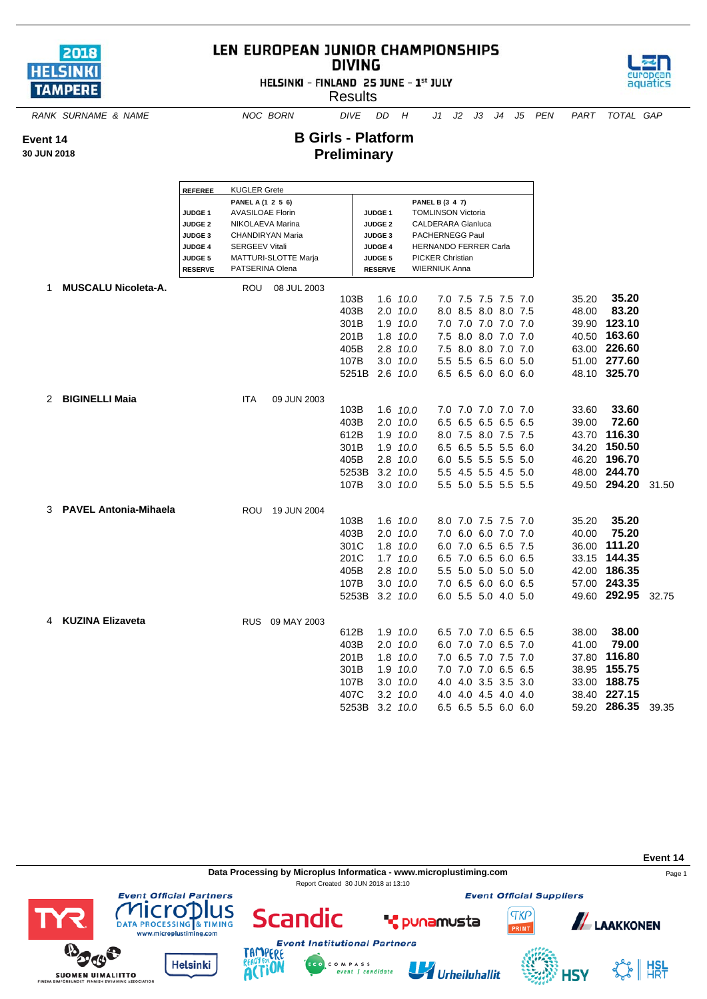

## LEN EUROPEAN JUNIOR CHAMPIONSHIPS **DIVING**

HELSINKI - FINLAND 25 JUNE - 1st JULY

Results



*RANK SURNAME & NAME NOC BORN DIVE DD H J1 J2 J3 J4 J5 PEN PART TOTAL GAP*

**B Girls - Platform**

**Preliminary**

**Event 14**

**30 JUN 2018**

**REFEREE** KUGLER Grete **PANEL A (1 2 5 6) PANEL B (3 4 7) JUDGE 1** AVASILOAE Florin **JUDGE 1** TOMLINSON Victoria **JUDGE 2** NIKOLAEVA Marina **JUDGE 2** CALDERARA Gianluca **JUDGE 3** CHANDIRYAN Maria  $\vert$  **JUDGE 3** PACHERNEGG Paul **JUDGE 4** SERGEEV Vitali **JUDGE 4** HERNANDO FERRER Carla **JUDGE 5** MATTURI-SLOTTE Marja **JUDGE 5** PICKER Christian **RESERVE** PATSERINA Olena **RESERVE** WIERNIUK Anna 1 **MUSCALU Nicoleta-A.** ROU 08 JUL 2003 103B 1.6 *10.0* 7.0 7.5 7.5 7.5 7.0 35.20 **35.20** 403B 2.0 *10.0* 8.0 8.5 8.0 8.0 7.5 48.00 **83.20** 301B 1.9 *10.0* 7.0 7.0 7.0 7.0 7.0 39.90 **123.10** 201B 1.8 *10.0* 7.5 8.0 8.0 7.0 7.0 40.50 **163.60** 405B 2.8 *10.0* 7.5 8.0 8.0 7.0 7.0 63.00 **226.60** 107B 3.0 *10.0* 5.5 5.5 6.5 6.0 5.0 51.00 **277.60** 5251B 2.6 *10.0* 6.5 6.5 6.0 6.0 6.0 48.10 **325.70** 2 **BIGINELLI Maia** ITA 09 JUN 2003 103B 1.6 *10.0* 7.0 7.0 7.0 7.0 7.0 33.60 **33.60** 403B 2.0 *10.0* 6.5 6.5 6.5 6.5 6.5 39.00 **72.60** 612B 1.9 *10.0* 8.0 7.5 8.0 7.5 7.5 43.70 **116.30** 301B 1.9 *10.0* 6.5 6.5 5.5 5.5 6.0 34.20 **150.50** 405B 2.8 *10.0* 6.0 5.5 5.5 5.5 5.0 46.20 **196.70** 5253B 3.2 *10.0* 5.5 4.5 5.5 4.5 5.0 48.00 **244.70** 107B 3.0 *10.0* 5.5 5.0 5.5 5.5 5.5 49.50 **294.20** 31.50 3 **PAVEL Antonia-Mihaela** ROU 19 JUN 2004 103B 1.6 *10.0* 8.0 7.0 7.5 7.5 7.0 35.20 **35.20** 403B 2.0 *10.0* 7.0 6.0 6.0 7.0 7.0 40.00 **75.20** 301C 1.8 *10.0* 6.0 7.0 6.5 6.5 7.5 36.00 **111.20** 201C 1.7 *10.0* 6.5 7.0 6.5 6.0 6.5 33.15 **144.35** 405B 2.8 *10.0* 5.5 5.0 5.0 5.0 5.0 42.00 **186.35** 107B 3.0 *10.0* 7.0 6.5 6.0 6.0 6.5 57.00 **243.35** 5253B 3.2 *10.0* 6.0 5.5 5.0 4.0 5.0 49.60 **292.95** 32.75 4 **KUZINA Elizaveta** RUS 09 MAY 2003 612B 1.9 *10.0* 6.5 7.0 7.0 6.5 6.5 38.00 **38.00** 403B 2.0 *10.0* 6.0 7.0 7.0 6.5 7.0 41.00 **79.00** 201B 1.8 *10.0* 7.0 6.5 7.0 7.5 7.0 37.80 **116.80** 301B 1.9 *10.0* 7.0 7.0 7.0 6.5 6.5 38.95 **155.75** 107B 3.0 *10.0* 4.0 4.0 3.5 3.5 3.0 33.00 **188.75** 407C 3.2 *10.0* 4.0 4.0 4.5 4.0 4.0 38.40 **227.15** 5253B 3.2 *10.0* 6.5 6.5 5.5 6.0 6.0 59.20 **286.35** 39.35

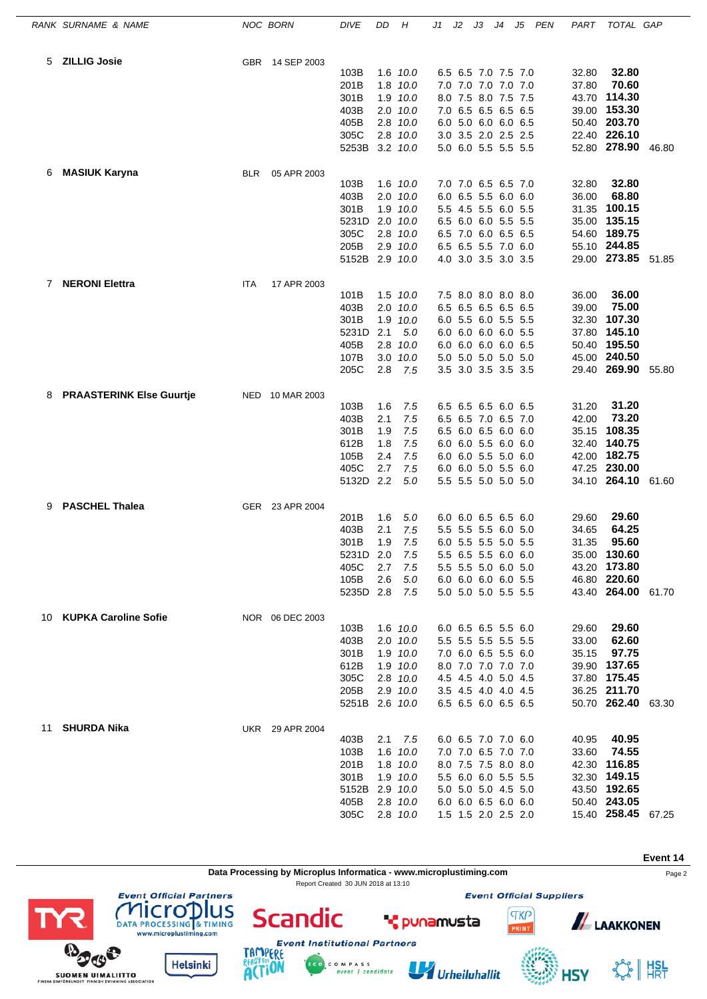|    | RANK SURNAME & NAME             |            | <b>NOC BORN</b> | <b>DIVE</b>                                                     | DD                                     | Н                                                                                       | J1 | J2 | JЗ                                                                                                                                                            | J4 | J5 | PEN | PART                                      | TOTAL GAP                                                                                            |       |
|----|---------------------------------|------------|-----------------|-----------------------------------------------------------------|----------------------------------------|-----------------------------------------------------------------------------------------|----|----|---------------------------------------------------------------------------------------------------------------------------------------------------------------|----|----|-----|-------------------------------------------|------------------------------------------------------------------------------------------------------|-------|
| 5  | <b>ZILLIG Josie</b>             |            | GBR 14 SEP 2003 | 103B<br>201B<br>301B<br>403B<br>405B<br>305C<br>5253B           |                                        | 1.6 10.0<br>1.8 10.0<br>1.9 10.0<br>$2.0$ $10.0$<br>2.8 10.0<br>2.8 10.0<br>3.2 10.0    |    |    | 6.5 6.5 7.0 7.5 7.0<br>7.0 7.0 7.0 7.0 7.0<br>8.0 7.5 8.0 7.5 7.5<br>7.0 6.5 6.5 6.5 6.5<br>6.0 5.0 6.0 6.0 6.5<br>3.0 3.5 2.0 2.5 2.5<br>5.0 6.0 5.5 5.5 5.5 |    |    |     | 32.80<br>37.80<br>43.70                   | 32.80<br>70.60<br>114.30<br>39.00 153.30<br>50.40 203.70<br>22.40 226.10<br>52.80 278.90             | 46.80 |
| 6  | <b>MASIUK Karyna</b>            | <b>BLR</b> | 05 APR 2003     | 103B<br>403B<br>301B<br>5231D<br>305C<br>205B<br>5152B 2.9 10.0 |                                        | 1.6 10.0<br>$2.0$ $10.0$<br>1.9 10.0<br>$2.0$ $10.0$<br>2.8 10.0<br>2.9 10.0            |    |    | 7.0 7.0 6.5 6.5 7.0<br>6.0 6.5 5.5 6.0 6.0<br>5.5 4.5 5.5 6.0 5.5<br>6.5 6.0 6.0 5.5 5.5<br>6.5 7.0 6.0 6.5 6.5<br>6.5 6.5 5.5 7.0 6.0<br>4.0 3.0 3.5 3.0 3.5 |    |    |     | 32.80<br>36.00<br>31.35<br>35.00<br>54.60 | 32.80<br>68.80<br>100.15<br>135.15<br>189.75<br>55.10 244.85<br>29.00 273.85                         | 51.85 |
| 7  | <b>NERONI Elettra</b>           | ITA        | 17 APR 2003     | 101B<br>403B<br>301B<br>5231D<br>405B<br>107B<br>205C           | 2.1<br>2.8<br>2.8                      | $1.5$ $10.0$<br>2.0 10.0<br>1.9 10.0<br>5.0<br>10.0<br>$3.0$ $10.0$<br>- 7.5            |    |    | 7.5 8.0 8.0 8.0 8.0<br>6.5 6.5 6.5 6.5 6.5<br>6.0 5.5 6.0 5.5 5.5<br>6.0 6.0 6.0 6.0 5.5<br>6.0 6.0 6.0 6.0 6.5<br>5.0 5.0 5.0 5.0 5.0<br>3.5 3.0 3.5 3.5 3.5 |    |    |     | 36.00<br>39.00<br>32.30<br>37.80          | 36.00<br>75.00<br>107.30<br>145.10<br>50.40 195.50<br>45.00 240.50<br>29.40 269.90                   | 55.80 |
| 8  | <b>PRAASTERINK Else Guurtje</b> |            | NED 10 MAR 2003 | 103B<br>403B<br>301B<br>612B<br>105B<br>405C<br>5132D 2.2       | 1.6<br>2.1<br>1.9<br>1.8<br>2.4<br>2.7 | 7.5<br>7.5<br>7.5<br>7.5<br>7.5<br>7.5<br>5.0                                           |    |    | 6.5 6.5 6.5 6.0 6.5<br>6.5 6.5 7.0 6.5 7.0<br>6.5 6.0 6.5 6.0 6.0<br>6.0 6.0 5.5 6.0 6.0<br>6.0 6.0 5.5 5.0 6.0<br>6.0 6.0 5.0 5.5 6.0<br>5.5 5.5 5.0 5.0 5.0 |    |    |     | 31.20<br>42.00<br>42.00                   | 31.20<br>73.20<br>35.15 108.35<br>32.40 140.75<br>182.75<br>47.25 230.00<br>34.10 264.10 61.60       |       |
| 9  | <b>PASCHEL Thalea</b>           |            | GER 23 APR 2004 | 201B<br>403B<br>301B<br>5231D 2.0<br>405C<br>105B<br>5235D 2.8  | 1.6<br>2.1<br>1.9<br>2.7<br>2.6        | 5.0<br>7.5<br>7.5<br>7.5<br>7.5<br>5.0<br>7.5                                           |    |    | 6.0 6.0 6.5 6.5 6.0<br>5.5 5.5 5.5 6.0 5.0<br>6.0 5.5 5.5 5.0 5.5<br>5.5 6.5 5.5 6.0 6.0<br>5.5 5.5 5.0 6.0 5.0<br>6.0 6.0 6.0 6.0 5.5<br>5.0 5.0 5.0 5.5 5.5 |    |    |     | 29.60<br>34.65<br>31.35                   | 29.60<br>64.25<br>95.60<br>35.00 130.60<br>43.20 173.80<br>46.80 220.60<br>43.40 264.00 61.70        |       |
|    | 10 KUPKA Caroline Sofie         |            | NOR 06 DEC 2003 | 103B<br>403B<br>301B<br>612B<br>305C<br>205B<br>5251B 2.6 10.0  |                                        | 1.6 10.0<br>2.0 10.0<br>1.9 10.0<br>1.9 10.0<br>2.8 10.0<br>$2.9$ $10.0$                |    |    | 6.0 6.5 6.5 5.5 6.0<br>5.5 5.5 5.5 5.5 5.5<br>7.0 6.0 6.5 5.5 6.0<br>8.0 7.0 7.0 7.0 7.0<br>4.5 4.5 4.0 5.0 4.5<br>3.5 4.5 4.0 4.0 4.5<br>6.5 6.5 6.0 6.5 6.5 |    |    |     | 29.60<br>33.00<br>35.15                   | 29.60<br>62.60<br>97.75<br>39.90 137.65<br>37.80 175.45<br>36.25 211.70<br>50.70 262.40 63.30        |       |
| 11 | <b>SHURDA Nika</b>              |            | UKR 29 APR 2004 | 403B<br>103B<br>201B<br>301B<br>5152B<br>405B<br>305C           |                                        | $2.1 \quad 7.5$<br>1.6 10.0<br>1.8 10.0<br>1.9 10.0<br>2.9 10.0<br>2.8 10.0<br>2.8 10.0 |    |    | 6.0 6.5 7.0 7.0 6.0<br>7.0 7.0 6.5 7.0 7.0<br>8.0 7.5 7.5 8.0 8.0<br>5.5 6.0 6.0 5.5 5.5<br>5.0 5.0 5.0 4.5 5.0<br>6.0 6.0 6.5 6.0 6.0<br>1.5 1.5 2.0 2.5 2.0 |    |    |     | 40.95<br>33.60                            | 40.95<br>74.55<br>42.30 116.85<br>32.30 149.15<br>43.50 192.65<br>50.40 243.05<br>15.40 258.45 67.25 |       |

**Data Processing by Microplus Informatica - www.microplustiming.com** Page 2

C O M P A S S<br>event | candidate

Report Created 30 JUN 2018 at 13:10



**Scandic Helsinki** 



Urheiluhallit

**T** punamusta



**ALAAKKONEN** 

**Event Official Suppliers** 

**TKP** 

**Event 14**